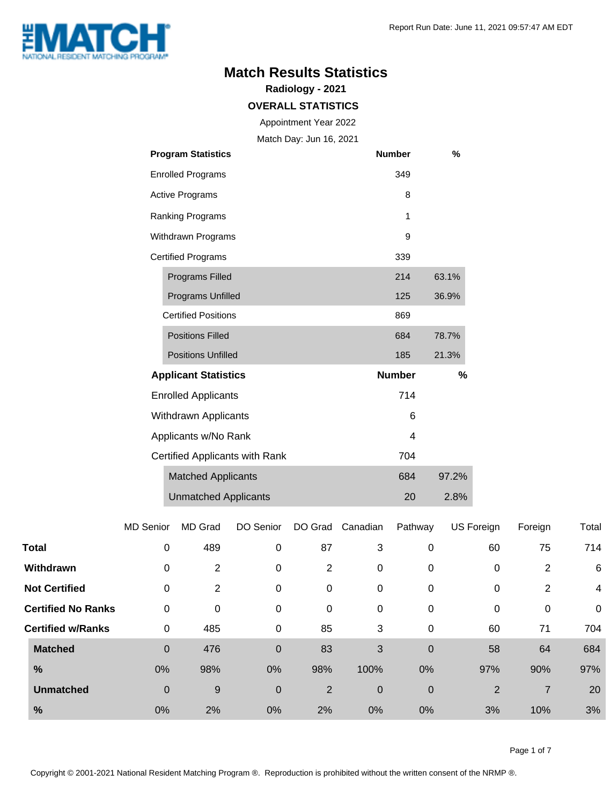

#### **Match Results Statistics**

**Radiology - 2021**

#### **OVERALL STATISTICS**

Appointment Year 2022

Match Day: Jun 16, 2021

| <b>Program Statistics</b>      | <b>Number</b> | %     |
|--------------------------------|---------------|-------|
| <b>Enrolled Programs</b>       | 349           |       |
| <b>Active Programs</b>         | 8             |       |
| Ranking Programs               | 1             |       |
| Withdrawn Programs             | 9             |       |
| <b>Certified Programs</b>      | 339           |       |
| <b>Programs Filled</b>         | 214           | 63.1% |
| <b>Programs Unfilled</b>       | 125           | 36.9% |
| <b>Certified Positions</b>     | 869           |       |
| <b>Positions Filled</b>        | 684           | 78.7% |
| <b>Positions Unfilled</b>      | 185           | 21.3% |
| <b>Applicant Statistics</b>    | <b>Number</b> | %     |
| <b>Enrolled Applicants</b>     | 714           |       |
| Withdrawn Applicants           | 6             |       |
| Applicants w/No Rank           | 4             |       |
| Certified Applicants with Rank | 704           |       |
| <b>Matched Applicants</b>      | 684           | 97.2% |
| <b>Unmatched Applicants</b>    | 20            | 2.8%  |

|                           | <b>MD Senior</b> | <b>MD</b> Grad | DO Senior   | DO Grad | Canadian | Pathway          | US Foreign     | Foreign        | Total          |
|---------------------------|------------------|----------------|-------------|---------|----------|------------------|----------------|----------------|----------------|
| <b>Total</b>              | 0                | 489            | 0           | 87      | 3        | 0                | 60             | 75             | 714            |
| Withdrawn                 | 0                | 2              | 0           | 2       | 0        | 0                | 0              | $\overline{2}$ | 6              |
| <b>Not Certified</b>      | 0                | 2              | 0           | 0       | 0        | 0                | 0              | 2              | $\overline{4}$ |
| <b>Certified No Ranks</b> | 0                | 0              | 0           | 0       | 0        | 0                | 0              | $\mathbf 0$    | $\mathbf 0$    |
| <b>Certified w/Ranks</b>  | 0                | 485            | 0           | 85      | 3        | 0                | 60             | 71             | 704            |
| <b>Matched</b>            | $\boldsymbol{0}$ | 476            | $\mathbf 0$ | 83      | 3        | $\mathbf 0$      | 58             | 64             | 684            |
| %                         | 0%               | 98%            | 0%          | 98%     | 100%     | 0%               | 97%            | 90%            | 97%            |
| <b>Unmatched</b>          | $\boldsymbol{0}$ | 9              | $\mathbf 0$ | 2       | 0        | $\boldsymbol{0}$ | $\overline{2}$ | $\overline{7}$ | 20             |
| %                         | 0%               | 2%             | 0%          | 2%      | $0\%$    | 0%               | 3%             | 10%            | 3%             |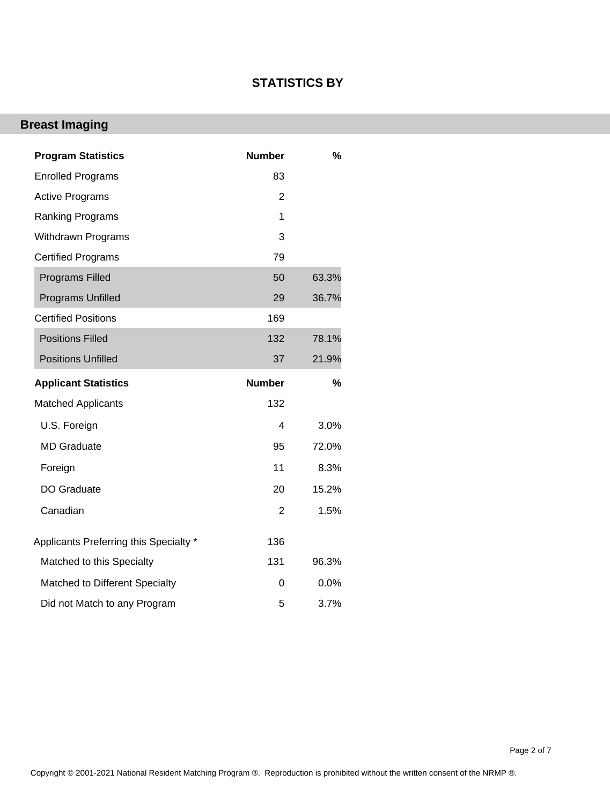#### **STATISTICS BY**

# **Breast Imaging**

| <b>Program Statistics</b>              | <b>Number</b>  | %     |
|----------------------------------------|----------------|-------|
| <b>Enrolled Programs</b>               | 83             |       |
| <b>Active Programs</b>                 | $\overline{2}$ |       |
| <b>Ranking Programs</b>                | 1              |       |
| <b>Withdrawn Programs</b>              | 3              |       |
| <b>Certified Programs</b>              | 79             |       |
| <b>Programs Filled</b>                 | 50             | 63.3% |
| <b>Programs Unfilled</b>               | 29             | 36.7% |
| <b>Certified Positions</b>             | 169            |       |
| <b>Positions Filled</b>                | 132            | 78.1% |
| <b>Positions Unfilled</b>              | 37             | 21.9% |
| <b>Applicant Statistics</b>            | <b>Number</b>  | $\%$  |
| <b>Matched Applicants</b>              | 132            |       |
| U.S. Foreign                           | 4              | 3.0%  |
| <b>MD</b> Graduate                     | 95             | 72.0% |
| Foreign                                | 11             | 8.3%  |
| DO Graduate                            | 20             | 15.2% |
| Canadian                               | 2              | 1.5%  |
| Applicants Preferring this Specialty * | 136            |       |
| Matched to this Specialty              | 131            | 96.3% |
| Matched to Different Specialty         | 0              | 0.0%  |
| Did not Match to any Program           | 5              | 3.7%  |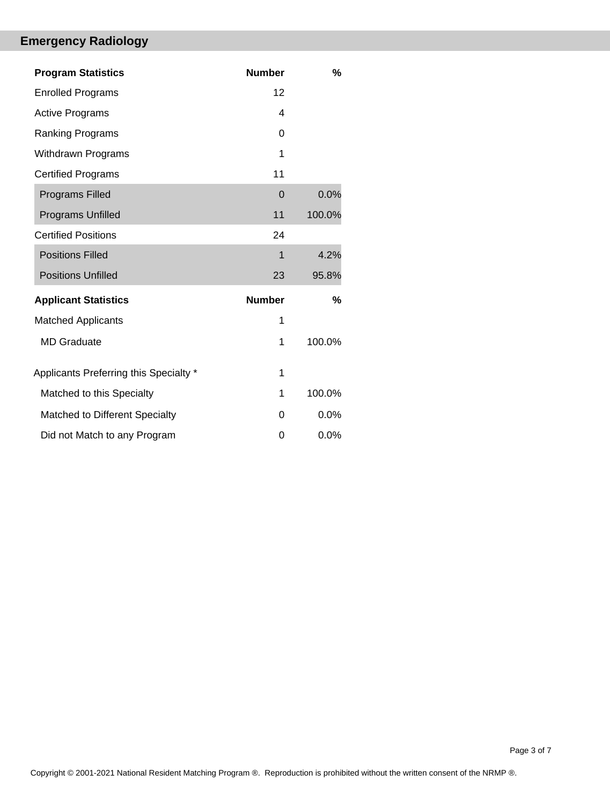## **Emergency Radiology**

| <b>Program Statistics</b>              | <b>Number</b> | %      |
|----------------------------------------|---------------|--------|
| <b>Enrolled Programs</b>               | 12            |        |
| <b>Active Programs</b>                 | 4             |        |
| <b>Ranking Programs</b>                | 0             |        |
| Withdrawn Programs                     | 1             |        |
| <b>Certified Programs</b>              | 11            |        |
| <b>Programs Filled</b>                 | $\Omega$      | 0.0%   |
| <b>Programs Unfilled</b>               | 11            | 100.0% |
| <b>Certified Positions</b>             | 24            |        |
| <b>Positions Filled</b>                | 1             | 4.2%   |
| <b>Positions Unfilled</b>              | 23            | 95.8%  |
| <b>Applicant Statistics</b>            | <b>Number</b> | %      |
| <b>Matched Applicants</b>              | 1             |        |
| <b>MD Graduate</b>                     | 1             | 100.0% |
| Applicants Preferring this Specialty * | 1             |        |
| Matched to this Specialty              | 1             | 100.0% |
| Matched to Different Specialty         | 0             | 0.0%   |
| Did not Match to any Program           | 0             | 0.0%   |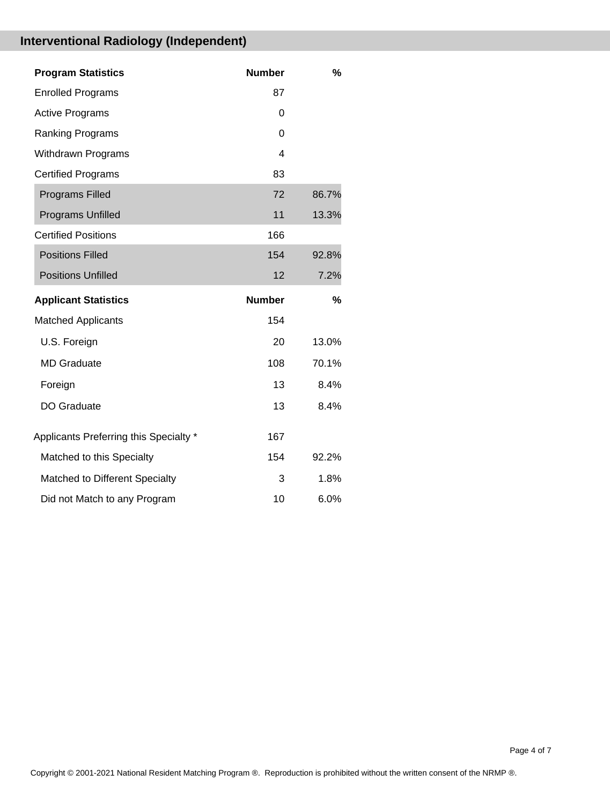## **Interventional Radiology (Independent)**

| <b>Program Statistics</b>              | <b>Number</b>  | %     |
|----------------------------------------|----------------|-------|
| <b>Enrolled Programs</b>               | 87             |       |
| <b>Active Programs</b>                 | 0              |       |
| <b>Ranking Programs</b>                | $\Omega$       |       |
| Withdrawn Programs                     | $\overline{4}$ |       |
| <b>Certified Programs</b>              | 83             |       |
| Programs Filled                        | 72             | 86.7% |
| <b>Programs Unfilled</b>               | 11             | 13.3% |
| <b>Certified Positions</b>             | 166            |       |
| <b>Positions Filled</b>                | 154            | 92.8% |
| <b>Positions Unfilled</b>              | 12             | 7.2%  |
|                                        |                |       |
| <b>Applicant Statistics</b>            | <b>Number</b>  | %     |
| <b>Matched Applicants</b>              | 154            |       |
| U.S. Foreign                           | 20             | 13.0% |
| <b>MD Graduate</b>                     | 108            | 70.1% |
| Foreign                                | 13             | 8.4%  |
| <b>DO Graduate</b>                     | 13             | 8.4%  |
| Applicants Preferring this Specialty * | 167            |       |
| Matched to this Specialty              | 154            | 92.2% |
| Matched to Different Specialty         | 3              | 1.8%  |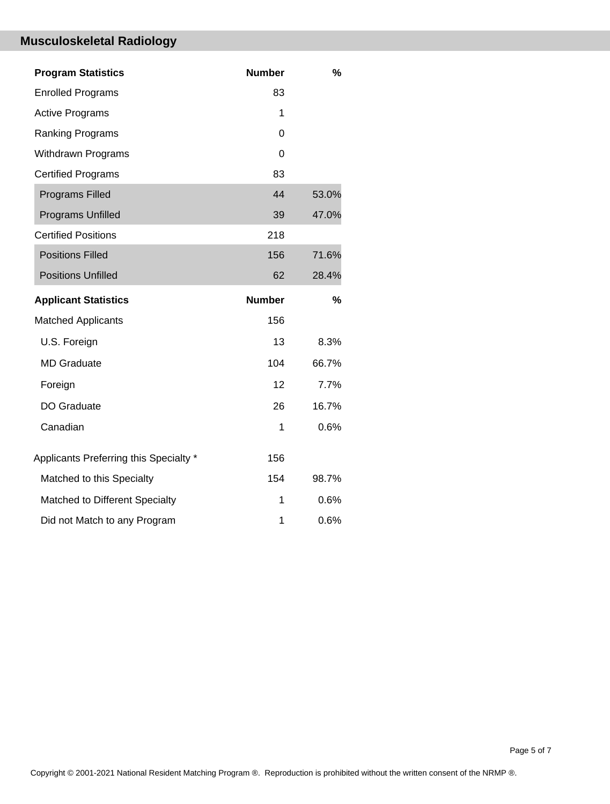## **Musculoskeletal Radiology**

| <b>Program Statistics</b>              | <b>Number</b> | $\frac{0}{0}$ |
|----------------------------------------|---------------|---------------|
| <b>Enrolled Programs</b>               | 83            |               |
| <b>Active Programs</b>                 | 1             |               |
| Ranking Programs                       | 0             |               |
| Withdrawn Programs                     | 0             |               |
| <b>Certified Programs</b>              | 83            |               |
| <b>Programs Filled</b>                 | 44            | 53.0%         |
| Programs Unfilled                      | 39            | 47.0%         |
| <b>Certified Positions</b>             | 218           |               |
| <b>Positions Filled</b>                | 156           | 71.6%         |
| <b>Positions Unfilled</b>              | 62            | 28.4%         |
| <b>Applicant Statistics</b>            | <b>Number</b> | $\frac{0}{0}$ |
| <b>Matched Applicants</b>              | 156           |               |
| U.S. Foreign                           | 13            | 8.3%          |
| <b>MD</b> Graduate                     | 104           | 66.7%         |
|                                        |               |               |
| Foreign                                | 12            | 7.7%          |
| DO Graduate                            | 26            | 16.7%         |
| Canadian                               | 1             | 0.6%          |
| Applicants Preferring this Specialty * | 156           |               |
| Matched to this Specialty              | 154           | 98.7%         |
| Matched to Different Specialty         | 1             | 0.6%          |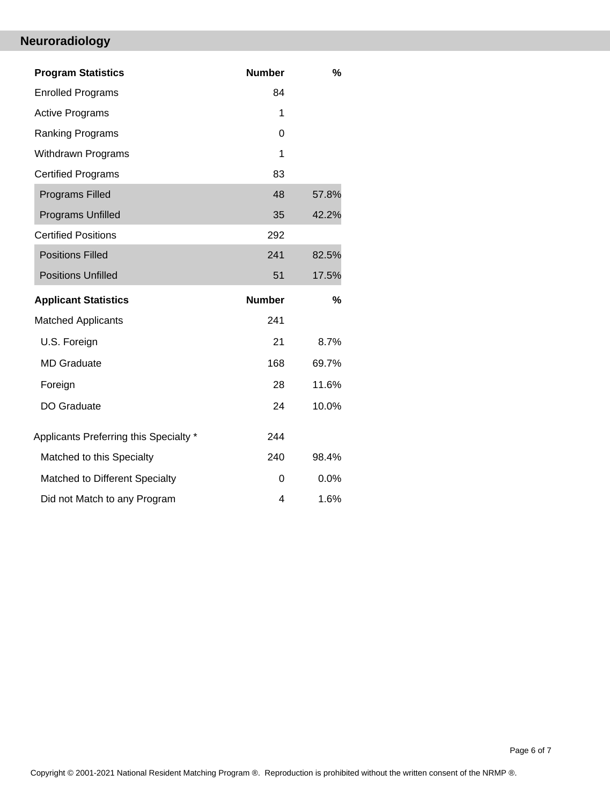## **Neuroradiology**

| <b>Program Statistics</b>              | <b>Number</b> | %     |
|----------------------------------------|---------------|-------|
| <b>Enrolled Programs</b>               | 84            |       |
| <b>Active Programs</b>                 | 1             |       |
| Ranking Programs                       | 0             |       |
| <b>Withdrawn Programs</b>              | 1             |       |
| <b>Certified Programs</b>              | 83            |       |
| <b>Programs Filled</b>                 | 48            | 57.8% |
| <b>Programs Unfilled</b>               | 35            | 42.2% |
| <b>Certified Positions</b>             | 292           |       |
| <b>Positions Filled</b>                | 241           | 82.5% |
| <b>Positions Unfilled</b>              | 51            | 17.5% |
|                                        |               |       |
| <b>Applicant Statistics</b>            | <b>Number</b> | %     |
| <b>Matched Applicants</b>              | 241           |       |
| U.S. Foreign                           | 21            | 8.7%  |
| <b>MD</b> Graduate                     | 168           | 69.7% |
| Foreign                                | 28            | 11.6% |
| DO Graduate                            | 24            | 10.0% |
| Applicants Preferring this Specialty * | 244           |       |
| Matched to this Specialty              | 240           | 98.4% |
| Matched to Different Specialty         | 0             | 0.0%  |